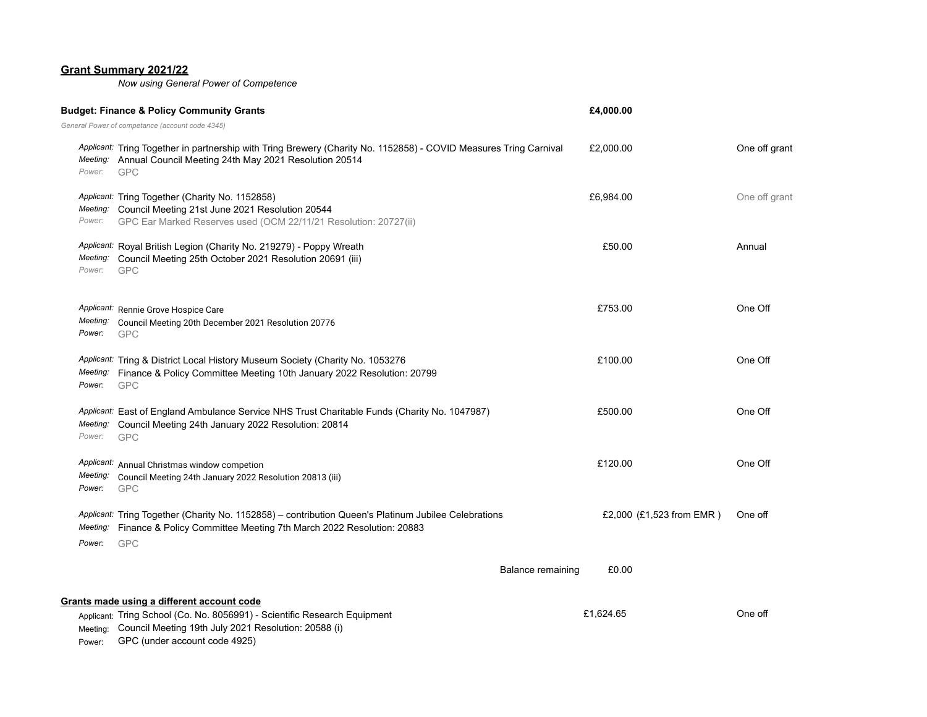## **Grant Summary 2021/22**

*Now using General Power of Competence*

|                                  | <b>Budget: Finance &amp; Policy Community Grants</b>                                                                                                                                                             | £4,000.00                  |               |
|----------------------------------|------------------------------------------------------------------------------------------------------------------------------------------------------------------------------------------------------------------|----------------------------|---------------|
|                                  | General Power of competance (account code 4345)                                                                                                                                                                  |                            |               |
| Meeting:<br>Power:               | Applicant: Tring Together in partnership with Tring Brewery (Charity No. 1152858) - COVID Measures Tring Carnival<br>Annual Council Meeting 24th May 2021 Resolution 20514<br><b>GPC</b>                         | £2,000.00                  | One off grant |
| Meeting:<br>Power:               | Applicant: Tring Together (Charity No. 1152858)<br>Council Meeting 21st June 2021 Resolution 20544<br>GPC Ear Marked Reserves used (OCM 22/11/21 Resolution: 20727(ii)                                           | £6,984.00                  | One off grant |
| Meeting:<br>Power:               | Applicant: Royal British Legion (Charity No. 219279) - Poppy Wreath<br>Council Meeting 25th October 2021 Resolution 20691 (iii)<br><b>GPC</b>                                                                    | £50.00                     | Annual        |
| Meeting:<br>Power:               | Applicant: Rennie Grove Hospice Care<br>Council Meeting 20th December 2021 Resolution 20776<br><b>GPC</b>                                                                                                        | £753.00                    | One Off       |
| Meeting:<br>Power:               | Applicant: Tring & District Local History Museum Society (Charity No. 1053276<br>Finance & Policy Committee Meeting 10th January 2022 Resolution: 20799<br><b>GPC</b>                                            | £100.00                    | One Off       |
| Applicant:<br>Meeting:<br>Power: | East of England Ambulance Service NHS Trust Charitable Funds (Charity No. 1047987)<br>Council Meeting 24th January 2022 Resolution: 20814<br><b>GPC</b>                                                          | £500.00                    | One Off       |
| Meeting:<br>Power:               | Applicant: Annual Christmas window competion<br>Council Meeting 24th January 2022 Resolution 20813 (iii)<br><b>GPC</b>                                                                                           | £120.00                    | One Off       |
| Meeting:<br>Power:               | Applicant: Tring Together (Charity No. 1152858) - contribution Queen's Platinum Jubilee Celebrations<br>Finance & Policy Committee Meeting 7th March 2022 Resolution: 20883<br><b>GPC</b>                        | £2,000 (£1,523 from EMR)   | One off       |
|                                  |                                                                                                                                                                                                                  | £0.00<br>Balance remaining |               |
| Meeting:<br>Power:               | Grants made using a different account code<br>Applicant: Tring School (Co. No. 8056991) - Scientific Research Equipment<br>Council Meeting 19th July 2021 Resolution: 20588 (i)<br>GPC (under account code 4925) | £1,624.65                  | One off       |